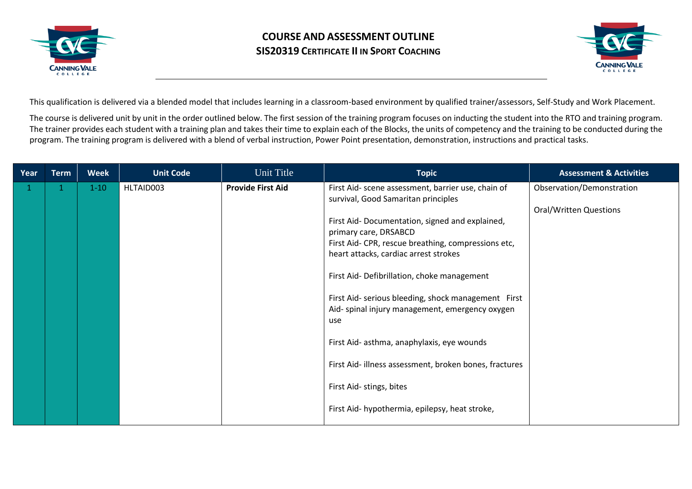



This qualification is delivered via a blended model that includes learning in a classroom-based environment by qualified trainer/assessors, Self-Study and Work Placement.

The course is delivered unit by unit in the order outlined below. The first session of the training program focuses on inducting the student into the RTO and training program. The trainer provides each student with a training plan and takes their time to explain each of the Blocks, the units of competency and the training to be conducted during the program. The training program is delivered with a blend of verbal instruction, Power Point presentation, demonstration, instructions and practical tasks.

| Year | <b>Term</b> | <b>Week</b> | <b>Unit Code</b> | Unit Title               | <b>Topic</b>                                                                              | <b>Assessment &amp; Activities</b> |
|------|-------------|-------------|------------------|--------------------------|-------------------------------------------------------------------------------------------|------------------------------------|
| 1    |             | $1-10$      | HLTAID003        | <b>Provide First Aid</b> | First Aid- scene assessment, barrier use, chain of<br>survival, Good Samaritan principles | Observation/Demonstration          |
|      |             |             |                  |                          |                                                                                           | <b>Oral/Written Questions</b>      |
|      |             |             |                  |                          | First Aid- Documentation, signed and explained,<br>primary care, DRSABCD                  |                                    |
|      |             |             |                  |                          | First Aid- CPR, rescue breathing, compressions etc,                                       |                                    |
|      |             |             |                  |                          | heart attacks, cardiac arrest strokes                                                     |                                    |
|      |             |             |                  |                          | First Aid- Defibrillation, choke management                                               |                                    |
|      |             |             |                  |                          | First Aid- serious bleeding, shock management First                                       |                                    |
|      |             |             |                  |                          | Aid- spinal injury management, emergency oxygen<br>use                                    |                                    |
|      |             |             |                  |                          |                                                                                           |                                    |
|      |             |             |                  |                          | First Aid- asthma, anaphylaxis, eye wounds                                                |                                    |
|      |             |             |                  |                          | First Aid- illness assessment, broken bones, fractures                                    |                                    |
|      |             |             |                  |                          | First Aid- stings, bites                                                                  |                                    |
|      |             |             |                  |                          | First Aid- hypothermia, epilepsy, heat stroke,                                            |                                    |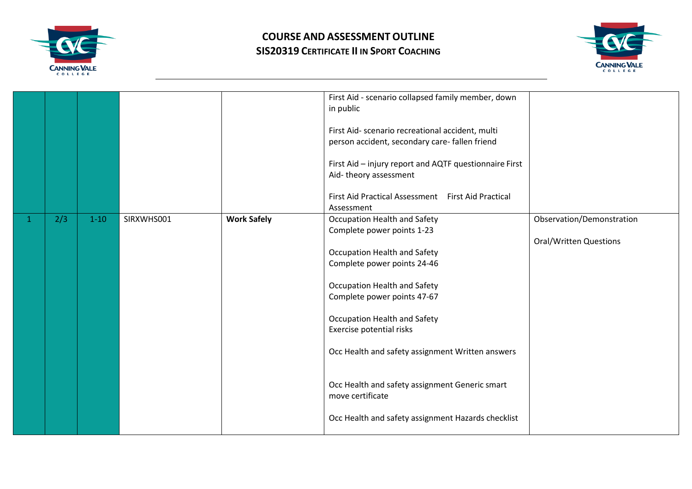



|   |     |          |            |                    | First Aid - scenario collapsed family member, down<br>in public<br>First Aid- scenario recreational accident, multi<br>person accident, secondary care- fallen friend<br>First Aid - injury report and AQTF questionnaire First<br>Aid-theory assessment<br>First Aid Practical Assessment First Aid Practical<br>Assessment                                                                                                         |                                                            |
|---|-----|----------|------------|--------------------|--------------------------------------------------------------------------------------------------------------------------------------------------------------------------------------------------------------------------------------------------------------------------------------------------------------------------------------------------------------------------------------------------------------------------------------|------------------------------------------------------------|
| 1 | 2/3 | $1 - 10$ | SIRXWHS001 | <b>Work Safely</b> | Occupation Health and Safety<br>Complete power points 1-23<br>Occupation Health and Safety<br>Complete power points 24-46<br>Occupation Health and Safety<br>Complete power points 47-67<br>Occupation Health and Safety<br>Exercise potential risks<br>Occ Health and safety assignment Written answers<br>Occ Health and safety assignment Generic smart<br>move certificate<br>Occ Health and safety assignment Hazards checklist | Observation/Demonstration<br><b>Oral/Written Questions</b> |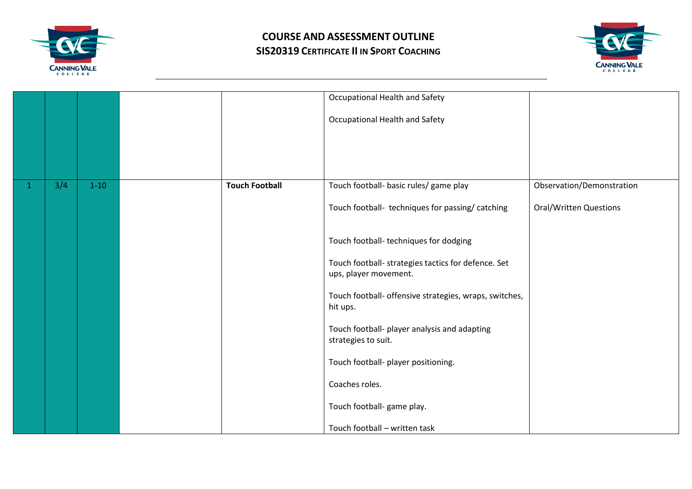



|              |     |          |                       | Occupational Health and Safety                                               |                               |
|--------------|-----|----------|-----------------------|------------------------------------------------------------------------------|-------------------------------|
|              |     |          |                       | Occupational Health and Safety                                               |                               |
|              |     |          |                       |                                                                              |                               |
|              |     |          |                       |                                                                              |                               |
| $\mathbf{1}$ | 3/4 | $1 - 10$ | <b>Touch Football</b> | Touch football- basic rules/ game play                                       | Observation/Demonstration     |
|              |     |          |                       | Touch football- techniques for passing/ catching                             | <b>Oral/Written Questions</b> |
|              |     |          |                       | Touch football- techniques for dodging                                       |                               |
|              |     |          |                       | Touch football- strategies tactics for defence. Set<br>ups, player movement. |                               |
|              |     |          |                       | Touch football- offensive strategies, wraps, switches,<br>hit ups.           |                               |
|              |     |          |                       | Touch football- player analysis and adapting<br>strategies to suit.          |                               |
|              |     |          |                       | Touch football- player positioning.                                          |                               |
|              |     |          |                       | Coaches roles.                                                               |                               |
|              |     |          |                       | Touch football- game play.                                                   |                               |
|              |     |          |                       | Touch football - written task                                                |                               |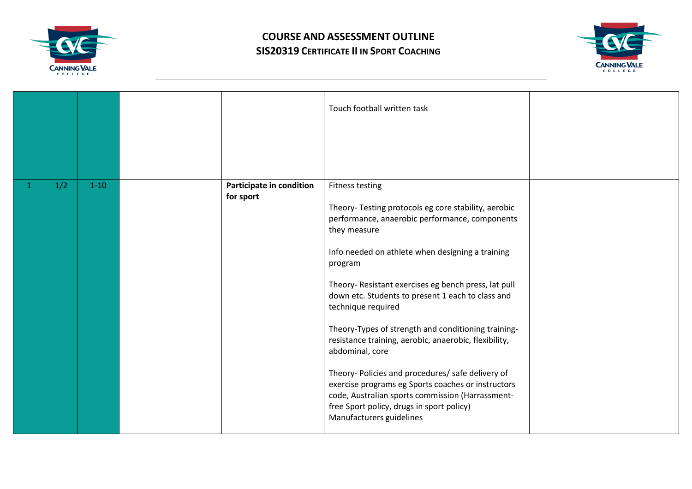



|              |     |          |                                       | Touch football written task                                                                                                                                                                                                                                                                                                                                                                                                                                                                                                                                                                                                                                                                                                   |  |
|--------------|-----|----------|---------------------------------------|-------------------------------------------------------------------------------------------------------------------------------------------------------------------------------------------------------------------------------------------------------------------------------------------------------------------------------------------------------------------------------------------------------------------------------------------------------------------------------------------------------------------------------------------------------------------------------------------------------------------------------------------------------------------------------------------------------------------------------|--|
| $\mathbf{1}$ | 1/2 | $1 - 10$ | Participate in condition<br>for sport | <b>Fitness testing</b><br>Theory- Testing protocols eg core stability, aerobic<br>performance, anaerobic performance, components<br>they measure<br>Info needed on athlete when designing a training<br>program<br>Theory- Resistant exercises eg bench press, lat pull<br>down etc. Students to present 1 each to class and<br>technique required<br>Theory-Types of strength and conditioning training-<br>resistance training, aerobic, anaerobic, flexibility,<br>abdominal, core<br>Theory- Policies and procedures/ safe delivery of<br>exercise programs eg Sports coaches or instructors<br>code, Australian sports commission (Harrassment-<br>free Sport policy, drugs in sport policy)<br>Manufacturers guidelines |  |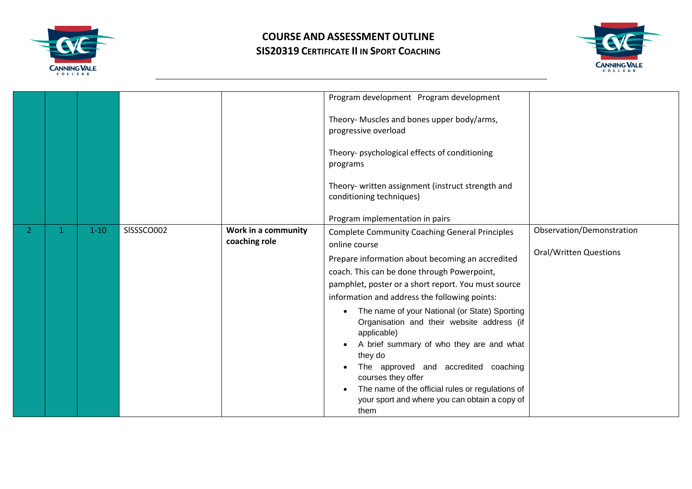



|  |          |            |                                      | Program development Program development<br>Theory- Muscles and bones upper body/arms,<br>progressive overload<br>Theory- psychological effects of conditioning<br>programs<br>Theory- written assignment (instruct strength and<br>conditioning techniques)<br>Program implementation in pairs                                                                                                                                                                                                                                                                                                                                    |                                                            |
|--|----------|------------|--------------------------------------|-----------------------------------------------------------------------------------------------------------------------------------------------------------------------------------------------------------------------------------------------------------------------------------------------------------------------------------------------------------------------------------------------------------------------------------------------------------------------------------------------------------------------------------------------------------------------------------------------------------------------------------|------------------------------------------------------------|
|  | $1 - 10$ | SISSSCO002 | Work in a community<br>coaching role | <b>Complete Community Coaching General Principles</b><br>online course<br>Prepare information about becoming an accredited<br>coach. This can be done through Powerpoint,<br>pamphlet, poster or a short report. You must source<br>information and address the following points:<br>The name of your National (or State) Sporting<br>Organisation and their website address (if<br>applicable)<br>A brief summary of who they are and what<br>they do<br>The approved and accredited coaching<br>courses they offer<br>The name of the official rules or regulations of<br>your sport and where you can obtain a copy of<br>them | Observation/Demonstration<br><b>Oral/Written Questions</b> |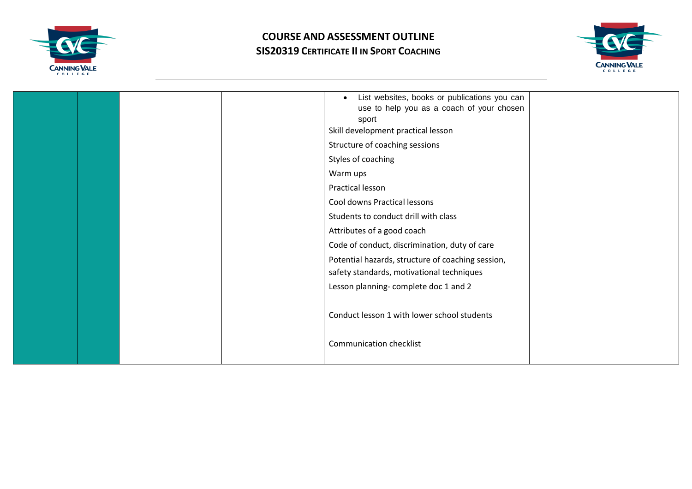



| List websites, books or publications you can<br>$\bullet$<br>use to help you as a coach of your chosen<br>sport<br>Skill development practical lesson<br>Structure of coaching sessions<br>Styles of coaching<br>Warm ups<br>Practical lesson<br>Cool downs Practical lessons<br>Students to conduct drill with class<br>Attributes of a good coach<br>Code of conduct, discrimination, duty of care<br>Potential hazards, structure of coaching session, |
|-----------------------------------------------------------------------------------------------------------------------------------------------------------------------------------------------------------------------------------------------------------------------------------------------------------------------------------------------------------------------------------------------------------------------------------------------------------|
| safety standards, motivational techniques<br>Lesson planning-complete doc 1 and 2                                                                                                                                                                                                                                                                                                                                                                         |
| Conduct lesson 1 with lower school students                                                                                                                                                                                                                                                                                                                                                                                                               |
| <b>Communication checklist</b>                                                                                                                                                                                                                                                                                                                                                                                                                            |